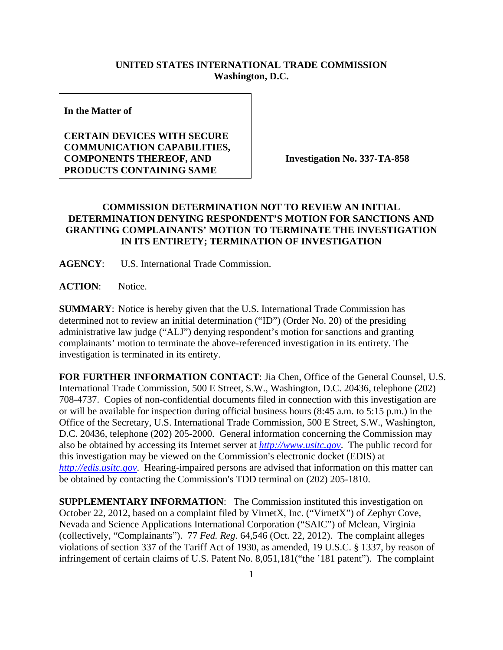## **UNITED STATES INTERNATIONAL TRADE COMMISSION Washington, D.C.**

**In the Matter of** 

## **CERTAIN DEVICES WITH SECURE COMMUNICATION CAPABILITIES, COMPONENTS THEREOF, AND PRODUCTS CONTAINING SAME**

**Investigation No. 337-TA-858** 

## **COMMISSION DETERMINATION NOT TO REVIEW AN INITIAL DETERMINATION DENYING RESPONDENT'S MOTION FOR SANCTIONS AND GRANTING COMPLAINANTS' MOTION TO TERMINATE THE INVESTIGATION IN ITS ENTIRETY; TERMINATION OF INVESTIGATION**

**AGENCY**: U.S. International Trade Commission.

**ACTION**: Notice.

**SUMMARY**: Notice is hereby given that the U.S. International Trade Commission has determined not to review an initial determination ("ID") (Order No. 20) of the presiding administrative law judge ("ALJ") denying respondent's motion for sanctions and granting complainants' motion to terminate the above-referenced investigation in its entirety. The investigation is terminated in its entirety.

**FOR FURTHER INFORMATION CONTACT**: Jia Chen, Office of the General Counsel, U.S. International Trade Commission, 500 E Street, S.W., Washington, D.C. 20436, telephone (202) 708-4737. Copies of non-confidential documents filed in connection with this investigation are or will be available for inspection during official business hours (8:45 a.m. to 5:15 p.m.) in the Office of the Secretary, U.S. International Trade Commission, 500 E Street, S.W., Washington, D.C. 20436, telephone (202) 205-2000. General information concerning the Commission may also be obtained by accessing its Internet server at *http://www.usitc.gov*. The public record for this investigation may be viewed on the Commission's electronic docket (EDIS) at *http://edis.usitc.gov*. Hearing-impaired persons are advised that information on this matter can be obtained by contacting the Commission's TDD terminal on (202) 205-1810.

**SUPPLEMENTARY INFORMATION**: The Commission instituted this investigation on October 22, 2012, based on a complaint filed by VirnetX, Inc. ("VirnetX") of Zephyr Cove, Nevada and Science Applications International Corporation ("SAIC") of Mclean, Virginia (collectively, "Complainants"). 77 *Fed. Reg.* 64,546 (Oct. 22, 2012). The complaint alleges violations of section 337 of the Tariff Act of 1930, as amended, 19 U.S.C. § 1337, by reason of infringement of certain claims of U.S. Patent No. 8,051,181("the '181 patent"). The complaint